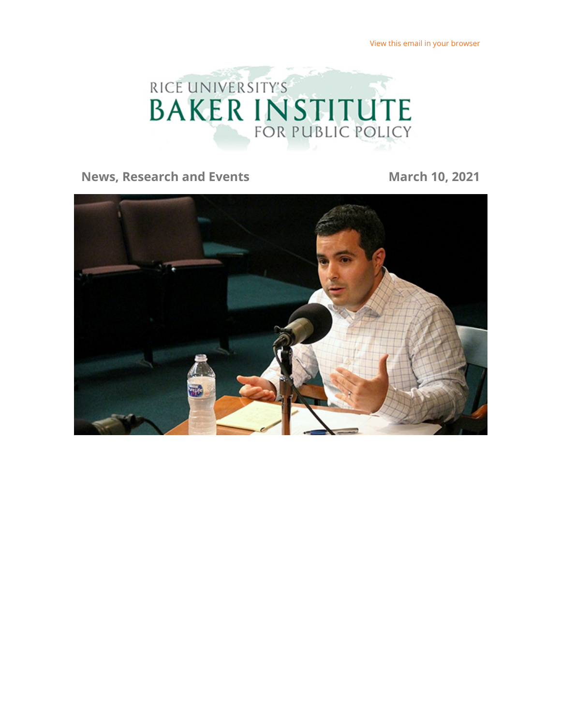

#### **News, Research and Events March 10, 2021**

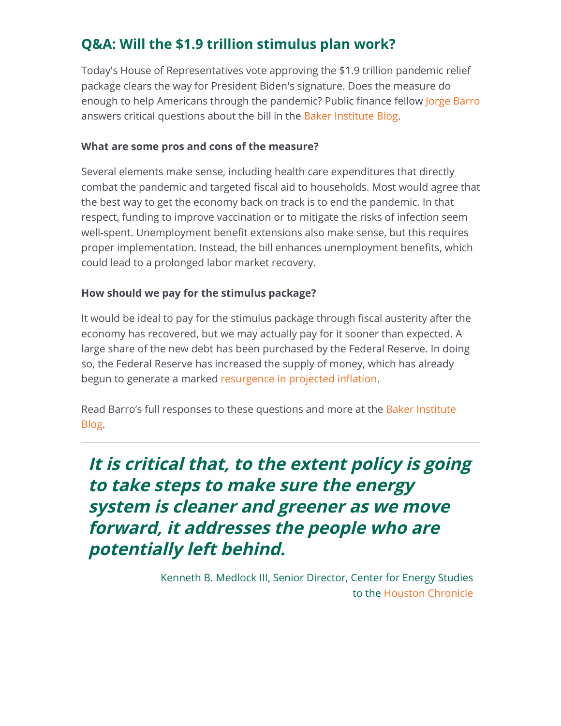# **Q&A: Will the \$1.9 trillion stimulus plan work?**

Today's House of Representatives vote approving the \$1.9 trillion pandemic relief package clears the way for President Biden's signature. Does the measure do enough to help Americans through the pandemic? Public finance fellow [Jorge Barro](https://riceconnect.rice.edu/page.redir?target=https%3a%2f%2fwww.bakerinstitute.org%2fexperts%2fjorge-barro%2f&srcid=212652&srctid=1&erid=4144cf26-ee29-4cfb-b709-000a917cd69a&trid=4144cf26-ee29-4cfb-b709-000a917cd69a) answers critical questions about the bill in the [Baker Institute Blog.](https://riceconnect.rice.edu/page.redir?target=http%3a%2f%2fbakerinstituteblog.blogs.rice.edu%2f&srcid=212652&srctid=1&erid=4144cf26-ee29-4cfb-b709-000a917cd69a&trid=4144cf26-ee29-4cfb-b709-000a917cd69a)

#### **What are some pros and cons of the measure?**

Several elements make sense, including health care expenditures that directly combat the pandemic and targeted fiscal aid to households. Most would agree that the best way to get the economy back on track is to end the pandemic. In that respect, funding to improve vaccination or to mitigate the risks of infection seem well-spent. Unemployment benefit extensions also make sense, but this requires proper implementation. Instead, the bill enhances unemployment benefits, which could lead to a prolonged labor market recovery.

#### **How should we pay for the stimulus package?**

It would be ideal to pay for the stimulus package through fiscal austerity after the economy has recovered, but we may actually pay for it sooner than expected. A large share of the new debt has been purchased by the Federal Reserve. In doing so, the Federal Reserve has increased the supply of money, which has already begun to generate a marked resurgence in projected inflation.

[Read Barro's full responses to these questions and more at the Baker Institute](https://riceconnect.rice.edu/page.redir?target=http%3a%2f%2fbakerinstituteblog.blogs.rice.edu%2f2021%2f03%2f08%2fqa-with-jorge-barro-on-bidens-1-9-trillion-relief-package%2f&srcid=212652&srctid=1&erid=4144cf26-ee29-4cfb-b709-000a917cd69a&trid=4144cf26-ee29-4cfb-b709-000a917cd69a) Blog.

**It is critical that, to the extent policy is going to take steps to make sure the energy system is cleaner and greener as we move forward, it addresses the people who are potentially left behind.** 

> Kenneth B. Medlock III, Senior Director, Center for Energy Studies to the [Houston Chronicle](https://riceconnect.rice.edu/page.redir?target=https%3a%2f%2fwww.houstonchronicle.com%2fbusiness%2fenergy%2farticle%2fHope-smaller-incomes-sustain-Houston-s-former-16000821.php&srcid=212652&srctid=1&erid=4144cf26-ee29-4cfb-b709-000a917cd69a&trid=4144cf26-ee29-4cfb-b709-000a917cd69a)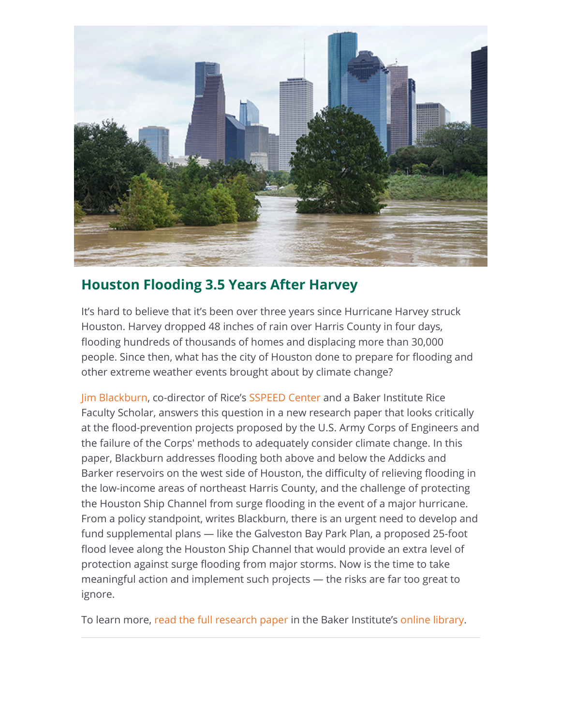

## **Houston Flooding 3.5 Years After Harvey**

It's hard to believe that it's been over three years since Hurricane Harvey struck Houston. Harvey dropped 48 inches of rain over Harris County in four days, flooding hundreds of thousands of homes and displacing more than 30,000 people. Since then, what has the city of Houston done to prepare for flooding and other extreme weather events brought about by climate change?

[Jim Blackburn](https://riceconnect.rice.edu/page.redir?target=https%3a%2f%2fwww.bakerinstitute.org%2fexperts%2fjim-blackburn%2f&srcid=212652&srctid=1&erid=4144cf26-ee29-4cfb-b709-000a917cd69a&trid=4144cf26-ee29-4cfb-b709-000a917cd69a), co-director of Rice's [SSPEED Center](https://riceconnect.rice.edu/page.redir?target=https%3a%2f%2fwww.sspeed.rice.edu%2f&srcid=212652&srctid=1&erid=4144cf26-ee29-4cfb-b709-000a917cd69a&trid=4144cf26-ee29-4cfb-b709-000a917cd69a) and a Baker Institute Rice Faculty Scholar, answers this question in a new research paper that looks critically at the flood-prevention projects proposed by the U.S. Army Corps of Engineers and the failure of the Corps' methods to adequately consider climate change. In this paper, Blackburn addresses flooding both above and below the Addicks and Barker reservoirs on the west side of Houston, the difficulty of relieving flooding in the low-income areas of northeast Harris County, and the challenge of protecting the Houston Ship Channel from surge flooding in the event of a major hurricane. From a policy standpoint, writes Blackburn, there is an urgent need to develop and fund supplemental plans — like the Galveston Bay Park Plan, a proposed 25-foot flood levee along the Houston Ship Channel that would provide an extra level of protection against surge flooding from major storms. Now is the time to take meaningful action and implement such projects — the risks are far too great to ignore.

To learn more, [read the full research paper](https://riceconnect.rice.edu/page.redir?target=https%3a%2f%2fwww.bakerinstitute.org%2fresearch%2fhouston-flooding-35-years-after-harvey%2f&srcid=212652&srctid=1&erid=4144cf26-ee29-4cfb-b709-000a917cd69a&trid=4144cf26-ee29-4cfb-b709-000a917cd69a) in the Baker Institute's [online library.](https://riceconnect.rice.edu/page.redir?target=https%3a%2f%2fwww.bakerinstitute.org%2fresearch%2f&srcid=212652&srctid=1&erid=4144cf26-ee29-4cfb-b709-000a917cd69a&trid=4144cf26-ee29-4cfb-b709-000a917cd69a)